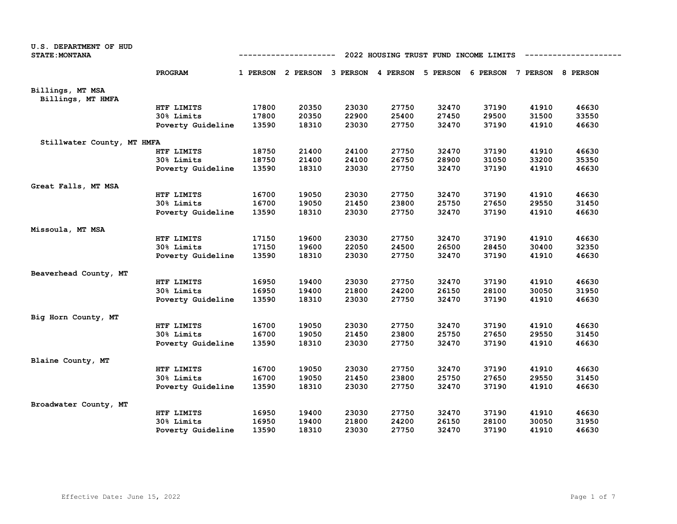| PROGRAM<br>1 PERSON 2 PERSON 3 PERSON 4 PERSON 5 PERSON 6 PERSON 7 PERSON 8 PERSON<br>Billings, MT MSA<br>Billings, MT HMFA<br>HTF LIMITS<br>17800<br>20350<br>23030<br>27750<br>32470<br>37190<br>41910<br>46630<br>29500<br>17800<br>20350<br>22900<br>25400<br>27450<br>31500<br>33550<br>30% Limits<br>37190<br>13590<br>18310<br>23030<br>27750<br>32470<br>41910<br>46630<br>Poverty Guideline<br>Stillwater County, MT HMFA<br>18750<br>21400<br>24100<br>27750<br>32470<br>37190<br>41910<br>46630<br>HTF LIMITS<br>30% Limits<br>18750<br>21400<br>24100<br>26750<br>28900<br>31050<br>33200<br>35350<br>18310<br>23030<br>27750<br>32470<br>37190<br>41910<br>46630<br>Poverty Guideline<br>13590<br>Great Falls, MT MSA<br>16700<br>27750<br>32470<br>37190<br>41910<br>46630<br>HTF LIMITS<br>19050<br>23030<br>16700<br>19050<br>21450<br>23800<br>25750<br>27650<br>29550<br>31450<br>30% Limits<br>18310<br>23030<br>27750<br>32470<br>37190<br>41910<br>46630<br>Poverty Guideline<br>13590<br>Missoula, MT MSA<br>37190<br>41910<br>46630<br>HTF LIMITS<br>17150<br>19600<br>23030<br>27750<br>32470<br>19600<br>24500<br>26500<br>28450<br>30400<br>30% Limits<br>17150<br>22050<br>32350<br>37190<br>13590<br>18310<br>23030<br>27750<br>32470<br>41910<br>46630<br>Poverty Guideline<br>Beaverhead County, MT<br>16950<br>23030<br>27750<br>32470<br>37190<br>41910<br>46630<br>HTF LIMITS<br>19400<br>24200<br>26150<br>28100<br>30050<br>31950<br>30% Limits<br>16950<br>19400<br>21800<br>27750<br>32470<br>37190<br>46630<br>Poverty Guideline<br>13590<br>18310<br>23030<br>41910<br>Big Horn County, MT<br>HTF LIMITS<br>16700<br>19050<br>23030<br>27750<br>32470<br>37190<br>41910<br>46630<br>27650<br>29550<br>30% Limits<br>16700<br>19050<br>21450<br>23800<br>25750<br>31450<br>13590<br>18310<br>23030<br>27750<br>32470<br>37190<br>41910<br>46630<br>Poverty Guideline<br>Blaine County, MT<br>27750<br>32470<br>37190<br>41910<br>46630<br>HTF LIMITS<br>16700<br>19050<br>23030<br>30% Limits<br>16700<br>19050<br>21450<br>23800<br>25750<br>27650<br>29550<br>31450<br>18310<br>23030<br>27750<br>32470<br>37190<br>41910<br>46630<br>Poverty Guideline<br>13590<br>Broadwater County, MT<br>16950<br>19400<br>23030<br>27750<br>32470<br>37190<br>41910<br>46630<br>HTF LIMITS<br>19400<br>21800<br>24200<br>26150<br>28100<br>30050<br>31950<br>30% Limits<br>16950 | U.S. DEPARTMENT OF HUD<br><b>STATE: MONTANA</b> | 2022 HOUSING TRUST FUND INCOME LIMITS<br>------------<br>--------- |       |       |       |       |       |       |       |       |
|---------------------------------------------------------------------------------------------------------------------------------------------------------------------------------------------------------------------------------------------------------------------------------------------------------------------------------------------------------------------------------------------------------------------------------------------------------------------------------------------------------------------------------------------------------------------------------------------------------------------------------------------------------------------------------------------------------------------------------------------------------------------------------------------------------------------------------------------------------------------------------------------------------------------------------------------------------------------------------------------------------------------------------------------------------------------------------------------------------------------------------------------------------------------------------------------------------------------------------------------------------------------------------------------------------------------------------------------------------------------------------------------------------------------------------------------------------------------------------------------------------------------------------------------------------------------------------------------------------------------------------------------------------------------------------------------------------------------------------------------------------------------------------------------------------------------------------------------------------------------------------------------------------------------------------------------------------------------------------------------------------------------------------------------------------------------------------------------------------------------------------------------------------------------------------------------------------------------------------------------------------------------------------------------------------------------------------------------------------------------------------------------------------------|-------------------------------------------------|--------------------------------------------------------------------|-------|-------|-------|-------|-------|-------|-------|-------|
|                                                                                                                                                                                                                                                                                                                                                                                                                                                                                                                                                                                                                                                                                                                                                                                                                                                                                                                                                                                                                                                                                                                                                                                                                                                                                                                                                                                                                                                                                                                                                                                                                                                                                                                                                                                                                                                                                                                                                                                                                                                                                                                                                                                                                                                                                                                                                                                                               |                                                 |                                                                    |       |       |       |       |       |       |       |       |
|                                                                                                                                                                                                                                                                                                                                                                                                                                                                                                                                                                                                                                                                                                                                                                                                                                                                                                                                                                                                                                                                                                                                                                                                                                                                                                                                                                                                                                                                                                                                                                                                                                                                                                                                                                                                                                                                                                                                                                                                                                                                                                                                                                                                                                                                                                                                                                                                               |                                                 |                                                                    |       |       |       |       |       |       |       |       |
|                                                                                                                                                                                                                                                                                                                                                                                                                                                                                                                                                                                                                                                                                                                                                                                                                                                                                                                                                                                                                                                                                                                                                                                                                                                                                                                                                                                                                                                                                                                                                                                                                                                                                                                                                                                                                                                                                                                                                                                                                                                                                                                                                                                                                                                                                                                                                                                                               |                                                 |                                                                    |       |       |       |       |       |       |       |       |
|                                                                                                                                                                                                                                                                                                                                                                                                                                                                                                                                                                                                                                                                                                                                                                                                                                                                                                                                                                                                                                                                                                                                                                                                                                                                                                                                                                                                                                                                                                                                                                                                                                                                                                                                                                                                                                                                                                                                                                                                                                                                                                                                                                                                                                                                                                                                                                                                               |                                                 |                                                                    |       |       |       |       |       |       |       |       |
|                                                                                                                                                                                                                                                                                                                                                                                                                                                                                                                                                                                                                                                                                                                                                                                                                                                                                                                                                                                                                                                                                                                                                                                                                                                                                                                                                                                                                                                                                                                                                                                                                                                                                                                                                                                                                                                                                                                                                                                                                                                                                                                                                                                                                                                                                                                                                                                                               |                                                 |                                                                    |       |       |       |       |       |       |       |       |
|                                                                                                                                                                                                                                                                                                                                                                                                                                                                                                                                                                                                                                                                                                                                                                                                                                                                                                                                                                                                                                                                                                                                                                                                                                                                                                                                                                                                                                                                                                                                                                                                                                                                                                                                                                                                                                                                                                                                                                                                                                                                                                                                                                                                                                                                                                                                                                                                               |                                                 |                                                                    |       |       |       |       |       |       |       |       |
|                                                                                                                                                                                                                                                                                                                                                                                                                                                                                                                                                                                                                                                                                                                                                                                                                                                                                                                                                                                                                                                                                                                                                                                                                                                                                                                                                                                                                                                                                                                                                                                                                                                                                                                                                                                                                                                                                                                                                                                                                                                                                                                                                                                                                                                                                                                                                                                                               |                                                 |                                                                    |       |       |       |       |       |       |       |       |
|                                                                                                                                                                                                                                                                                                                                                                                                                                                                                                                                                                                                                                                                                                                                                                                                                                                                                                                                                                                                                                                                                                                                                                                                                                                                                                                                                                                                                                                                                                                                                                                                                                                                                                                                                                                                                                                                                                                                                                                                                                                                                                                                                                                                                                                                                                                                                                                                               |                                                 |                                                                    |       |       |       |       |       |       |       |       |
|                                                                                                                                                                                                                                                                                                                                                                                                                                                                                                                                                                                                                                                                                                                                                                                                                                                                                                                                                                                                                                                                                                                                                                                                                                                                                                                                                                                                                                                                                                                                                                                                                                                                                                                                                                                                                                                                                                                                                                                                                                                                                                                                                                                                                                                                                                                                                                                                               |                                                 |                                                                    |       |       |       |       |       |       |       |       |
|                                                                                                                                                                                                                                                                                                                                                                                                                                                                                                                                                                                                                                                                                                                                                                                                                                                                                                                                                                                                                                                                                                                                                                                                                                                                                                                                                                                                                                                                                                                                                                                                                                                                                                                                                                                                                                                                                                                                                                                                                                                                                                                                                                                                                                                                                                                                                                                                               |                                                 |                                                                    |       |       |       |       |       |       |       |       |
|                                                                                                                                                                                                                                                                                                                                                                                                                                                                                                                                                                                                                                                                                                                                                                                                                                                                                                                                                                                                                                                                                                                                                                                                                                                                                                                                                                                                                                                                                                                                                                                                                                                                                                                                                                                                                                                                                                                                                                                                                                                                                                                                                                                                                                                                                                                                                                                                               |                                                 |                                                                    |       |       |       |       |       |       |       |       |
|                                                                                                                                                                                                                                                                                                                                                                                                                                                                                                                                                                                                                                                                                                                                                                                                                                                                                                                                                                                                                                                                                                                                                                                                                                                                                                                                                                                                                                                                                                                                                                                                                                                                                                                                                                                                                                                                                                                                                                                                                                                                                                                                                                                                                                                                                                                                                                                                               |                                                 |                                                                    |       |       |       |       |       |       |       |       |
|                                                                                                                                                                                                                                                                                                                                                                                                                                                                                                                                                                                                                                                                                                                                                                                                                                                                                                                                                                                                                                                                                                                                                                                                                                                                                                                                                                                                                                                                                                                                                                                                                                                                                                                                                                                                                                                                                                                                                                                                                                                                                                                                                                                                                                                                                                                                                                                                               |                                                 |                                                                    |       |       |       |       |       |       |       |       |
|                                                                                                                                                                                                                                                                                                                                                                                                                                                                                                                                                                                                                                                                                                                                                                                                                                                                                                                                                                                                                                                                                                                                                                                                                                                                                                                                                                                                                                                                                                                                                                                                                                                                                                                                                                                                                                                                                                                                                                                                                                                                                                                                                                                                                                                                                                                                                                                                               |                                                 |                                                                    |       |       |       |       |       |       |       |       |
|                                                                                                                                                                                                                                                                                                                                                                                                                                                                                                                                                                                                                                                                                                                                                                                                                                                                                                                                                                                                                                                                                                                                                                                                                                                                                                                                                                                                                                                                                                                                                                                                                                                                                                                                                                                                                                                                                                                                                                                                                                                                                                                                                                                                                                                                                                                                                                                                               |                                                 |                                                                    |       |       |       |       |       |       |       |       |
|                                                                                                                                                                                                                                                                                                                                                                                                                                                                                                                                                                                                                                                                                                                                                                                                                                                                                                                                                                                                                                                                                                                                                                                                                                                                                                                                                                                                                                                                                                                                                                                                                                                                                                                                                                                                                                                                                                                                                                                                                                                                                                                                                                                                                                                                                                                                                                                                               |                                                 |                                                                    |       |       |       |       |       |       |       |       |
|                                                                                                                                                                                                                                                                                                                                                                                                                                                                                                                                                                                                                                                                                                                                                                                                                                                                                                                                                                                                                                                                                                                                                                                                                                                                                                                                                                                                                                                                                                                                                                                                                                                                                                                                                                                                                                                                                                                                                                                                                                                                                                                                                                                                                                                                                                                                                                                                               |                                                 |                                                                    |       |       |       |       |       |       |       |       |
|                                                                                                                                                                                                                                                                                                                                                                                                                                                                                                                                                                                                                                                                                                                                                                                                                                                                                                                                                                                                                                                                                                                                                                                                                                                                                                                                                                                                                                                                                                                                                                                                                                                                                                                                                                                                                                                                                                                                                                                                                                                                                                                                                                                                                                                                                                                                                                                                               |                                                 |                                                                    |       |       |       |       |       |       |       |       |
|                                                                                                                                                                                                                                                                                                                                                                                                                                                                                                                                                                                                                                                                                                                                                                                                                                                                                                                                                                                                                                                                                                                                                                                                                                                                                                                                                                                                                                                                                                                                                                                                                                                                                                                                                                                                                                                                                                                                                                                                                                                                                                                                                                                                                                                                                                                                                                                                               |                                                 |                                                                    |       |       |       |       |       |       |       |       |
|                                                                                                                                                                                                                                                                                                                                                                                                                                                                                                                                                                                                                                                                                                                                                                                                                                                                                                                                                                                                                                                                                                                                                                                                                                                                                                                                                                                                                                                                                                                                                                                                                                                                                                                                                                                                                                                                                                                                                                                                                                                                                                                                                                                                                                                                                                                                                                                                               |                                                 |                                                                    |       |       |       |       |       |       |       |       |
|                                                                                                                                                                                                                                                                                                                                                                                                                                                                                                                                                                                                                                                                                                                                                                                                                                                                                                                                                                                                                                                                                                                                                                                                                                                                                                                                                                                                                                                                                                                                                                                                                                                                                                                                                                                                                                                                                                                                                                                                                                                                                                                                                                                                                                                                                                                                                                                                               |                                                 |                                                                    |       |       |       |       |       |       |       |       |
|                                                                                                                                                                                                                                                                                                                                                                                                                                                                                                                                                                                                                                                                                                                                                                                                                                                                                                                                                                                                                                                                                                                                                                                                                                                                                                                                                                                                                                                                                                                                                                                                                                                                                                                                                                                                                                                                                                                                                                                                                                                                                                                                                                                                                                                                                                                                                                                                               |                                                 |                                                                    |       |       |       |       |       |       |       |       |
|                                                                                                                                                                                                                                                                                                                                                                                                                                                                                                                                                                                                                                                                                                                                                                                                                                                                                                                                                                                                                                                                                                                                                                                                                                                                                                                                                                                                                                                                                                                                                                                                                                                                                                                                                                                                                                                                                                                                                                                                                                                                                                                                                                                                                                                                                                                                                                                                               |                                                 |                                                                    |       |       |       |       |       |       |       |       |
|                                                                                                                                                                                                                                                                                                                                                                                                                                                                                                                                                                                                                                                                                                                                                                                                                                                                                                                                                                                                                                                                                                                                                                                                                                                                                                                                                                                                                                                                                                                                                                                                                                                                                                                                                                                                                                                                                                                                                                                                                                                                                                                                                                                                                                                                                                                                                                                                               |                                                 |                                                                    |       |       |       |       |       |       |       |       |
|                                                                                                                                                                                                                                                                                                                                                                                                                                                                                                                                                                                                                                                                                                                                                                                                                                                                                                                                                                                                                                                                                                                                                                                                                                                                                                                                                                                                                                                                                                                                                                                                                                                                                                                                                                                                                                                                                                                                                                                                                                                                                                                                                                                                                                                                                                                                                                                                               |                                                 |                                                                    |       |       |       |       |       |       |       |       |
|                                                                                                                                                                                                                                                                                                                                                                                                                                                                                                                                                                                                                                                                                                                                                                                                                                                                                                                                                                                                                                                                                                                                                                                                                                                                                                                                                                                                                                                                                                                                                                                                                                                                                                                                                                                                                                                                                                                                                                                                                                                                                                                                                                                                                                                                                                                                                                                                               |                                                 |                                                                    |       |       |       |       |       |       |       |       |
|                                                                                                                                                                                                                                                                                                                                                                                                                                                                                                                                                                                                                                                                                                                                                                                                                                                                                                                                                                                                                                                                                                                                                                                                                                                                                                                                                                                                                                                                                                                                                                                                                                                                                                                                                                                                                                                                                                                                                                                                                                                                                                                                                                                                                                                                                                                                                                                                               |                                                 |                                                                    |       |       |       |       |       |       |       |       |
|                                                                                                                                                                                                                                                                                                                                                                                                                                                                                                                                                                                                                                                                                                                                                                                                                                                                                                                                                                                                                                                                                                                                                                                                                                                                                                                                                                                                                                                                                                                                                                                                                                                                                                                                                                                                                                                                                                                                                                                                                                                                                                                                                                                                                                                                                                                                                                                                               |                                                 |                                                                    |       |       |       |       |       |       |       |       |
|                                                                                                                                                                                                                                                                                                                                                                                                                                                                                                                                                                                                                                                                                                                                                                                                                                                                                                                                                                                                                                                                                                                                                                                                                                                                                                                                                                                                                                                                                                                                                                                                                                                                                                                                                                                                                                                                                                                                                                                                                                                                                                                                                                                                                                                                                                                                                                                                               |                                                 |                                                                    |       |       |       |       |       |       |       |       |
|                                                                                                                                                                                                                                                                                                                                                                                                                                                                                                                                                                                                                                                                                                                                                                                                                                                                                                                                                                                                                                                                                                                                                                                                                                                                                                                                                                                                                                                                                                                                                                                                                                                                                                                                                                                                                                                                                                                                                                                                                                                                                                                                                                                                                                                                                                                                                                                                               |                                                 |                                                                    |       |       |       |       |       |       |       |       |
|                                                                                                                                                                                                                                                                                                                                                                                                                                                                                                                                                                                                                                                                                                                                                                                                                                                                                                                                                                                                                                                                                                                                                                                                                                                                                                                                                                                                                                                                                                                                                                                                                                                                                                                                                                                                                                                                                                                                                                                                                                                                                                                                                                                                                                                                                                                                                                                                               |                                                 |                                                                    |       |       |       |       |       |       |       |       |
|                                                                                                                                                                                                                                                                                                                                                                                                                                                                                                                                                                                                                                                                                                                                                                                                                                                                                                                                                                                                                                                                                                                                                                                                                                                                                                                                                                                                                                                                                                                                                                                                                                                                                                                                                                                                                                                                                                                                                                                                                                                                                                                                                                                                                                                                                                                                                                                                               |                                                 |                                                                    |       |       |       |       |       |       |       |       |
|                                                                                                                                                                                                                                                                                                                                                                                                                                                                                                                                                                                                                                                                                                                                                                                                                                                                                                                                                                                                                                                                                                                                                                                                                                                                                                                                                                                                                                                                                                                                                                                                                                                                                                                                                                                                                                                                                                                                                                                                                                                                                                                                                                                                                                                                                                                                                                                                               |                                                 |                                                                    |       |       |       |       |       |       |       |       |
| Poverty Guideline                                                                                                                                                                                                                                                                                                                                                                                                                                                                                                                                                                                                                                                                                                                                                                                                                                                                                                                                                                                                                                                                                                                                                                                                                                                                                                                                                                                                                                                                                                                                                                                                                                                                                                                                                                                                                                                                                                                                                                                                                                                                                                                                                                                                                                                                                                                                                                                             |                                                 |                                                                    | 13590 | 18310 | 23030 | 27750 | 32470 | 37190 | 41910 | 46630 |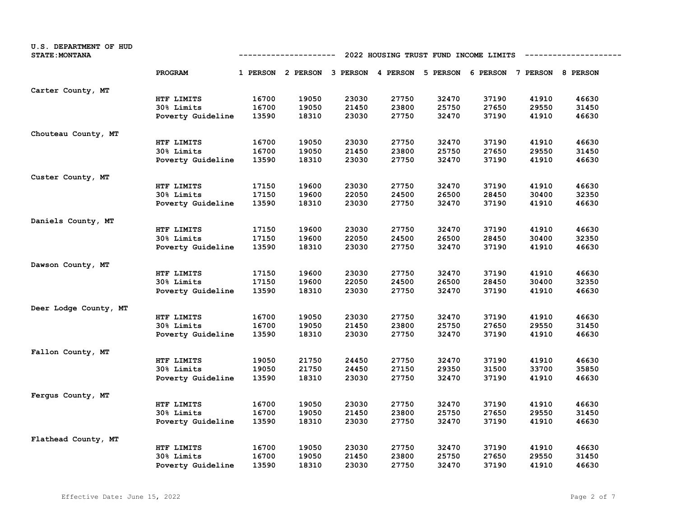| U.S. DEPARTMENT OF HUD<br><b>STATE: MONTANA</b> |                   |       | ----------                                                              |       |       |       | 2022 HOUSING TRUST FUND INCOME LIMITS |       |       |
|-------------------------------------------------|-------------------|-------|-------------------------------------------------------------------------|-------|-------|-------|---------------------------------------|-------|-------|
|                                                 | PROGRAM           |       | 1 PERSON 2 PERSON 3 PERSON 4 PERSON 5 PERSON 6 PERSON 7 PERSON 8 PERSON |       |       |       |                                       |       |       |
| Carter County, MT                               |                   |       |                                                                         |       |       |       |                                       |       |       |
|                                                 | HTF LIMITS        | 16700 | 19050                                                                   | 23030 | 27750 | 32470 | 37190                                 | 41910 | 46630 |
|                                                 | 30% Limits        | 16700 | 19050                                                                   | 21450 | 23800 | 25750 | 27650                                 | 29550 | 31450 |
|                                                 | Poverty Guideline | 13590 | 18310                                                                   | 23030 | 27750 | 32470 | 37190                                 | 41910 | 46630 |
| Chouteau County, MT                             |                   |       |                                                                         |       |       |       |                                       |       |       |
|                                                 | HTF LIMITS        | 16700 | 19050                                                                   | 23030 | 27750 | 32470 | 37190                                 | 41910 | 46630 |
|                                                 | 30% Limits        | 16700 | 19050                                                                   | 21450 | 23800 | 25750 | 27650                                 | 29550 | 31450 |
|                                                 | Poverty Guideline | 13590 | 18310                                                                   | 23030 | 27750 | 32470 | 37190                                 | 41910 | 46630 |
| Custer County, MT                               |                   |       |                                                                         |       |       |       |                                       |       |       |
|                                                 | HTF LIMITS        | 17150 | 19600                                                                   | 23030 | 27750 | 32470 | 37190                                 | 41910 | 46630 |
|                                                 | 30% Limits        | 17150 | 19600                                                                   | 22050 | 24500 | 26500 | 28450                                 | 30400 | 32350 |
|                                                 | Poverty Guideline | 13590 | 18310                                                                   | 23030 | 27750 | 32470 | 37190                                 | 41910 | 46630 |
| Daniels County, MT                              |                   |       |                                                                         |       |       |       |                                       |       |       |
|                                                 | HTF LIMITS        | 17150 | 19600                                                                   | 23030 | 27750 | 32470 | 37190                                 | 41910 | 46630 |
|                                                 | 30% Limits        | 17150 | 19600                                                                   | 22050 | 24500 | 26500 | 28450                                 | 30400 | 32350 |
|                                                 | Poverty Guideline | 13590 | 18310                                                                   | 23030 | 27750 | 32470 | 37190                                 | 41910 | 46630 |
| Dawson County, MT                               |                   |       |                                                                         |       |       |       |                                       |       |       |
|                                                 | HTF LIMITS        | 17150 | 19600                                                                   | 23030 | 27750 | 32470 | 37190                                 | 41910 | 46630 |
|                                                 | 30% Limits        | 17150 | 19600                                                                   | 22050 | 24500 | 26500 | 28450                                 | 30400 | 32350 |
|                                                 | Poverty Guideline | 13590 | 18310                                                                   | 23030 | 27750 | 32470 | 37190                                 | 41910 | 46630 |
| Deer Lodge County, MT                           |                   |       |                                                                         |       |       |       |                                       |       |       |
|                                                 | HTF LIMITS        | 16700 | 19050                                                                   | 23030 | 27750 | 32470 | 37190                                 | 41910 | 46630 |
|                                                 | 30% Limits        | 16700 | 19050                                                                   | 21450 | 23800 | 25750 | 27650                                 | 29550 | 31450 |
|                                                 | Poverty Guideline | 13590 | 18310                                                                   | 23030 | 27750 | 32470 | 37190                                 | 41910 | 46630 |
| Fallon County, MT                               |                   |       |                                                                         |       |       |       |                                       |       |       |
|                                                 | HTF LIMITS        | 19050 | 21750                                                                   | 24450 | 27750 | 32470 | 37190                                 | 41910 | 46630 |
|                                                 | 30% Limits        | 19050 | 21750                                                                   | 24450 | 27150 | 29350 | 31500                                 | 33700 | 35850 |
|                                                 | Poverty Guideline | 13590 | 18310                                                                   | 23030 | 27750 | 32470 | 37190                                 | 41910 | 46630 |
| Fergus County, MT                               |                   |       |                                                                         |       |       |       |                                       |       |       |
|                                                 | HTF LIMITS        | 16700 | 19050                                                                   | 23030 | 27750 | 32470 | 37190                                 | 41910 | 46630 |
|                                                 | 30% Limits        | 16700 | 19050                                                                   | 21450 | 23800 | 25750 | 27650                                 | 29550 | 31450 |
|                                                 | Poverty Guideline | 13590 | 18310                                                                   | 23030 | 27750 | 32470 | 37190                                 | 41910 | 46630 |
| Flathead County, MT                             |                   |       |                                                                         |       |       |       |                                       |       |       |
|                                                 | HTF LIMITS        | 16700 | 19050                                                                   | 23030 | 27750 | 32470 | 37190                                 | 41910 | 46630 |
|                                                 | 30% Limits        | 16700 | 19050                                                                   | 21450 | 23800 | 25750 | 27650                                 | 29550 | 31450 |
|                                                 | Poverty Guideline | 13590 | 18310                                                                   | 23030 | 27750 | 32470 | 37190                                 | 41910 | 46630 |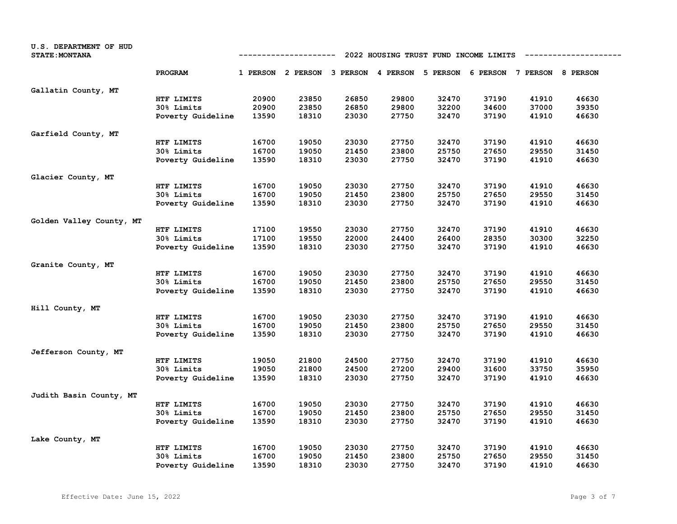| U.S. DEPARTMENT OF HUD<br><b>STATE: MONTANA</b> |                   |       | ----------                                   |       | 2022 HOUSING TRUST FUND INCOME LIMITS |       |       |                            |       |
|-------------------------------------------------|-------------------|-------|----------------------------------------------|-------|---------------------------------------|-------|-------|----------------------------|-------|
|                                                 | PROGRAM           |       | 1 PERSON 2 PERSON 3 PERSON 4 PERSON 5 PERSON |       |                                       |       |       | 6 PERSON 7 PERSON 8 PERSON |       |
| Gallatin County, MT                             |                   |       |                                              |       |                                       |       |       |                            |       |
|                                                 | HTF LIMITS        | 20900 | 23850                                        | 26850 | 29800                                 | 32470 | 37190 | 41910                      | 46630 |
|                                                 | 30% Limits        | 20900 | 23850                                        | 26850 | 29800                                 | 32200 | 34600 | 37000                      | 39350 |
|                                                 | Poverty Guideline | 13590 | 18310                                        | 23030 | 27750                                 | 32470 | 37190 | 41910                      | 46630 |
| Garfield County, MT                             |                   |       |                                              |       |                                       |       |       |                            |       |
|                                                 | HTF LIMITS        | 16700 | 19050                                        | 23030 | 27750                                 | 32470 | 37190 | 41910                      | 46630 |
|                                                 | 30% Limits        | 16700 | 19050                                        | 21450 | 23800                                 | 25750 | 27650 | 29550                      | 31450 |
|                                                 | Poverty Guideline | 13590 | 18310                                        | 23030 | 27750                                 | 32470 | 37190 | 41910                      | 46630 |
| Glacier County, MT                              |                   |       |                                              |       |                                       |       |       |                            |       |
|                                                 | HTF LIMITS        | 16700 | 19050                                        | 23030 | 27750                                 | 32470 | 37190 | 41910                      | 46630 |
|                                                 | 30% Limits        | 16700 | 19050                                        | 21450 | 23800                                 | 25750 | 27650 | 29550                      | 31450 |
|                                                 | Poverty Guideline | 13590 | 18310                                        | 23030 | 27750                                 | 32470 | 37190 | 41910                      | 46630 |
| Golden Valley County, MT                        |                   |       |                                              |       |                                       |       |       |                            |       |
|                                                 | HTF LIMITS        | 17100 | 19550                                        | 23030 | 27750                                 | 32470 | 37190 | 41910                      | 46630 |
|                                                 | 30% Limits        | 17100 | 19550                                        | 22000 | 24400                                 | 26400 | 28350 | 30300                      | 32250 |
|                                                 | Poverty Guideline | 13590 | 18310                                        | 23030 | 27750                                 | 32470 | 37190 | 41910                      | 46630 |
| Granite County, MT                              |                   |       |                                              |       |                                       |       |       |                            |       |
|                                                 | HTF LIMITS        | 16700 | 19050                                        | 23030 | 27750                                 | 32470 | 37190 | 41910                      | 46630 |
|                                                 | 30% Limits        | 16700 | 19050                                        | 21450 | 23800                                 | 25750 | 27650 | 29550                      | 31450 |
|                                                 | Poverty Guideline | 13590 | 18310                                        | 23030 | 27750                                 | 32470 | 37190 | 41910                      | 46630 |
| Hill County, MT                                 |                   |       |                                              |       |                                       |       |       |                            |       |
|                                                 | HTF LIMITS        | 16700 | 19050                                        | 23030 | 27750                                 | 32470 | 37190 | 41910                      | 46630 |
|                                                 | 30% Limits        | 16700 | 19050                                        | 21450 | 23800                                 | 25750 | 27650 | 29550                      | 31450 |
|                                                 | Poverty Guideline | 13590 | 18310                                        | 23030 | 27750                                 | 32470 | 37190 | 41910                      | 46630 |
| Jefferson County, MT                            |                   |       |                                              |       |                                       |       |       |                            |       |
|                                                 | HTF LIMITS        | 19050 | 21800                                        | 24500 | 27750                                 | 32470 | 37190 | 41910                      | 46630 |
|                                                 | 30% Limits        | 19050 | 21800                                        | 24500 | 27200                                 | 29400 | 31600 | 33750                      | 35950 |
|                                                 | Poverty Guideline | 13590 | 18310                                        | 23030 | 27750                                 | 32470 | 37190 | 41910                      | 46630 |
| Judith Basin County, MT                         |                   |       |                                              |       |                                       |       |       |                            |       |
|                                                 | HTF LIMITS        | 16700 | 19050                                        | 23030 | 27750                                 | 32470 | 37190 | 41910                      | 46630 |
|                                                 | 30% Limits        | 16700 | 19050                                        | 21450 | 23800                                 | 25750 | 27650 | 29550                      | 31450 |
|                                                 | Poverty Guideline | 13590 | 18310                                        | 23030 | 27750                                 | 32470 | 37190 | 41910                      | 46630 |
| Lake County, MT                                 |                   |       |                                              |       |                                       |       |       |                            |       |
|                                                 | HTF LIMITS        | 16700 | 19050                                        | 23030 | 27750                                 | 32470 | 37190 | 41910                      | 46630 |
|                                                 | 30% Limits        | 16700 | 19050                                        | 21450 | 23800                                 | 25750 | 27650 | 29550                      | 31450 |
|                                                 | Poverty Guideline | 13590 | 18310                                        | 23030 | 27750                                 | 32470 | 37190 | 41910                      | 46630 |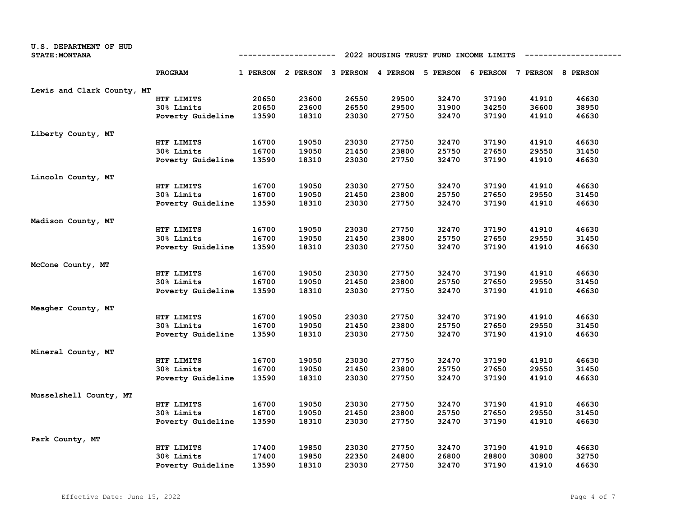| U.S. DEPARTMENT OF HUD<br><b>STATE: MONTANA</b> | 2022 HOUSING TRUST FUND INCOME LIMITS<br>-----------------<br>---------- |       |                                     |       |       |                                     |       |       |       |
|-------------------------------------------------|--------------------------------------------------------------------------|-------|-------------------------------------|-------|-------|-------------------------------------|-------|-------|-------|
|                                                 | PROGRAM                                                                  |       | 1 PERSON 2 PERSON 3 PERSON 4 PERSON |       |       | 5 PERSON 6 PERSON 7 PERSON 8 PERSON |       |       |       |
| Lewis and Clark County, MT                      |                                                                          |       |                                     |       |       |                                     |       |       |       |
|                                                 | HTF LIMITS                                                               | 20650 | 23600                               | 26550 | 29500 | 32470                               | 37190 | 41910 | 46630 |
|                                                 | 30% Limits                                                               | 20650 | 23600                               | 26550 | 29500 | 31900                               | 34250 | 36600 | 38950 |
|                                                 | Poverty Guideline                                                        | 13590 | 18310                               | 23030 | 27750 | 32470                               | 37190 | 41910 | 46630 |
| Liberty County, MT                              |                                                                          |       |                                     |       |       |                                     |       |       |       |
|                                                 | HTF LIMITS                                                               | 16700 | 19050                               | 23030 | 27750 | 32470                               | 37190 | 41910 | 46630 |
|                                                 | 30% Limits                                                               | 16700 | 19050                               | 21450 | 23800 | 25750                               | 27650 | 29550 | 31450 |
|                                                 | Poverty Guideline                                                        | 13590 | 18310                               | 23030 | 27750 | 32470                               | 37190 | 41910 | 46630 |
| Lincoln County, MT                              |                                                                          |       |                                     |       |       |                                     |       |       |       |
|                                                 | HTF LIMITS                                                               | 16700 | 19050                               | 23030 | 27750 | 32470                               | 37190 | 41910 | 46630 |
|                                                 | 30% Limits                                                               | 16700 | 19050                               | 21450 | 23800 | 25750                               | 27650 | 29550 | 31450 |
|                                                 | Poverty Guideline                                                        | 13590 | 18310                               | 23030 | 27750 | 32470                               | 37190 | 41910 | 46630 |
| Madison County, MT                              |                                                                          |       |                                     |       |       |                                     |       |       |       |
|                                                 | HTF LIMITS                                                               | 16700 | 19050                               | 23030 | 27750 | 32470                               | 37190 | 41910 | 46630 |
|                                                 | 30% Limits                                                               | 16700 | 19050                               | 21450 | 23800 | 25750                               | 27650 | 29550 | 31450 |
|                                                 | Poverty Guideline                                                        | 13590 | 18310                               | 23030 | 27750 | 32470                               | 37190 | 41910 | 46630 |
| McCone County, MT                               |                                                                          |       |                                     |       |       |                                     |       |       |       |
|                                                 | HTF LIMITS                                                               | 16700 | 19050                               | 23030 | 27750 | 32470                               | 37190 | 41910 | 46630 |
|                                                 | 30% Limits                                                               | 16700 | 19050                               | 21450 | 23800 | 25750                               | 27650 | 29550 | 31450 |
|                                                 | Poverty Guideline                                                        | 13590 | 18310                               | 23030 | 27750 | 32470                               | 37190 | 41910 | 46630 |
| Meagher County, MT                              |                                                                          |       |                                     |       |       |                                     |       |       |       |
|                                                 | HTF LIMITS                                                               | 16700 | 19050                               | 23030 | 27750 | 32470                               | 37190 | 41910 | 46630 |
|                                                 | 30% Limits                                                               | 16700 | 19050                               | 21450 | 23800 | 25750                               | 27650 | 29550 | 31450 |
|                                                 | Poverty Guideline                                                        | 13590 | 18310                               | 23030 | 27750 | 32470                               | 37190 | 41910 | 46630 |
| Mineral County, MT                              |                                                                          |       |                                     |       |       |                                     |       |       |       |
|                                                 | HTF LIMITS                                                               | 16700 | 19050                               | 23030 | 27750 | 32470                               | 37190 | 41910 | 46630 |
|                                                 | 30% Limits                                                               | 16700 | 19050                               | 21450 | 23800 | 25750                               | 27650 | 29550 | 31450 |
|                                                 | Poverty Guideline                                                        | 13590 | 18310                               | 23030 | 27750 | 32470                               | 37190 | 41910 | 46630 |
| Musselshell County, MT                          |                                                                          |       |                                     |       |       |                                     |       |       |       |
|                                                 | HTF LIMITS                                                               | 16700 | 19050                               | 23030 | 27750 | 32470                               | 37190 | 41910 | 46630 |
|                                                 | 30% Limits                                                               | 16700 | 19050                               | 21450 | 23800 | 25750                               | 27650 | 29550 | 31450 |
|                                                 | Poverty Guideline                                                        | 13590 | 18310                               | 23030 | 27750 | 32470                               | 37190 | 41910 | 46630 |
| Park County, MT                                 |                                                                          |       |                                     |       |       |                                     |       |       |       |
|                                                 | HTF LIMITS                                                               | 17400 | 19850                               | 23030 | 27750 | 32470                               | 37190 | 41910 | 46630 |
|                                                 | 30% Limits                                                               | 17400 | 19850                               | 22350 | 24800 | 26800                               | 28800 | 30800 | 32750 |
|                                                 | Poverty Guideline                                                        | 13590 | 18310                               | 23030 | 27750 | 32470                               | 37190 | 41910 | 46630 |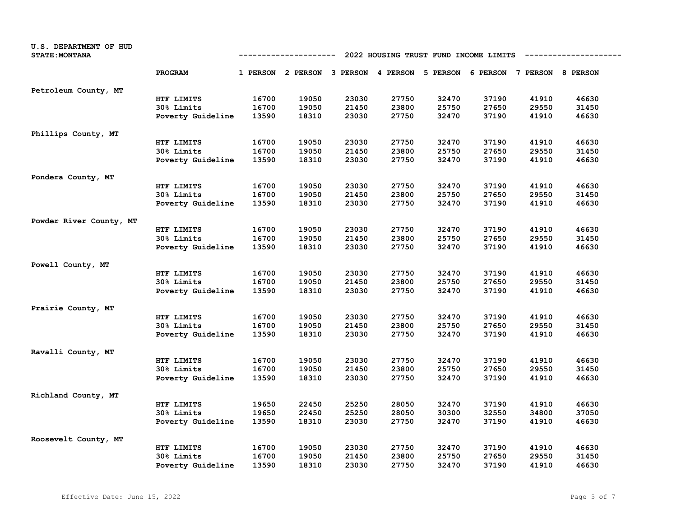| U.S. DEPARTMENT OF HUD<br><b>STATE: MONTANA</b> |                   |       | ----------                                                              |       |       |       | 2022 HOUSING TRUST FUND INCOME LIMITS |       |       |
|-------------------------------------------------|-------------------|-------|-------------------------------------------------------------------------|-------|-------|-------|---------------------------------------|-------|-------|
|                                                 | PROGRAM           |       | 1 PERSON 2 PERSON 3 PERSON 4 PERSON 5 PERSON 6 PERSON 7 PERSON 8 PERSON |       |       |       |                                       |       |       |
| Petroleum County, MT                            |                   |       |                                                                         |       |       |       |                                       |       |       |
|                                                 | HTF LIMITS        | 16700 | 19050                                                                   | 23030 | 27750 | 32470 | 37190                                 | 41910 | 46630 |
|                                                 | 30% Limits        | 16700 | 19050                                                                   | 21450 | 23800 | 25750 | 27650                                 | 29550 | 31450 |
|                                                 | Poverty Guideline | 13590 | 18310                                                                   | 23030 | 27750 | 32470 | 37190                                 | 41910 | 46630 |
| Phillips County, MT                             |                   |       |                                                                         |       |       |       |                                       |       |       |
|                                                 | HTF LIMITS        | 16700 | 19050                                                                   | 23030 | 27750 | 32470 | 37190                                 | 41910 | 46630 |
|                                                 | 30% Limits        | 16700 | 19050                                                                   | 21450 | 23800 | 25750 | 27650                                 | 29550 | 31450 |
|                                                 | Poverty Guideline | 13590 | 18310                                                                   | 23030 | 27750 | 32470 | 37190                                 | 41910 | 46630 |
| Pondera County, MT                              |                   |       |                                                                         |       |       |       |                                       |       |       |
|                                                 | HTF LIMITS        | 16700 | 19050                                                                   | 23030 | 27750 | 32470 | 37190                                 | 41910 | 46630 |
|                                                 | 30% Limits        | 16700 | 19050                                                                   | 21450 | 23800 | 25750 | 27650                                 | 29550 | 31450 |
|                                                 | Poverty Guideline | 13590 | 18310                                                                   | 23030 | 27750 | 32470 | 37190                                 | 41910 | 46630 |
| Powder River County, MT                         |                   |       |                                                                         |       |       |       |                                       |       |       |
|                                                 | HTF LIMITS        | 16700 | 19050                                                                   | 23030 | 27750 | 32470 | 37190                                 | 41910 | 46630 |
|                                                 | 30% Limits        | 16700 | 19050                                                                   | 21450 | 23800 | 25750 | 27650                                 | 29550 | 31450 |
|                                                 | Poverty Guideline | 13590 | 18310                                                                   | 23030 | 27750 | 32470 | 37190                                 | 41910 | 46630 |
| Powell County, MT                               |                   |       |                                                                         |       |       |       |                                       |       |       |
|                                                 | HTF LIMITS        | 16700 | 19050                                                                   | 23030 | 27750 | 32470 | 37190                                 | 41910 | 46630 |
|                                                 | 30% Limits        | 16700 | 19050                                                                   | 21450 | 23800 | 25750 | 27650                                 | 29550 | 31450 |
|                                                 | Poverty Guideline | 13590 | 18310                                                                   | 23030 | 27750 | 32470 | 37190                                 | 41910 | 46630 |
| Prairie County, MT                              |                   |       |                                                                         |       |       |       |                                       |       |       |
|                                                 | HTF LIMITS        | 16700 | 19050                                                                   | 23030 | 27750 | 32470 | 37190                                 | 41910 | 46630 |
|                                                 | 30% Limits        | 16700 | 19050                                                                   | 21450 | 23800 | 25750 | 27650                                 | 29550 | 31450 |
|                                                 | Poverty Guideline | 13590 | 18310                                                                   | 23030 | 27750 | 32470 | 37190                                 | 41910 | 46630 |
| Ravalli County, MT                              |                   |       |                                                                         |       |       |       |                                       |       |       |
|                                                 | HTF LIMITS        | 16700 | 19050                                                                   | 23030 | 27750 | 32470 | 37190                                 | 41910 | 46630 |
|                                                 | 30% Limits        | 16700 | 19050                                                                   | 21450 | 23800 | 25750 | 27650                                 | 29550 | 31450 |
|                                                 | Poverty Guideline | 13590 | 18310                                                                   | 23030 | 27750 | 32470 | 37190                                 | 41910 | 46630 |
| Richland County, MT                             |                   |       |                                                                         |       |       |       |                                       |       |       |
|                                                 | HTF LIMITS        | 19650 | 22450                                                                   | 25250 | 28050 | 32470 | 37190                                 | 41910 | 46630 |
|                                                 | 30% Limits        | 19650 | 22450                                                                   | 25250 | 28050 | 30300 | 32550                                 | 34800 | 37050 |
|                                                 | Poverty Guideline | 13590 | 18310                                                                   | 23030 | 27750 | 32470 | 37190                                 | 41910 | 46630 |
| Roosevelt County, MT                            |                   |       |                                                                         |       |       |       |                                       |       |       |
|                                                 | HTF LIMITS        | 16700 | 19050                                                                   | 23030 | 27750 | 32470 | 37190                                 | 41910 | 46630 |
|                                                 | 30% Limits        | 16700 | 19050                                                                   | 21450 | 23800 | 25750 | 27650                                 | 29550 | 31450 |
|                                                 | Poverty Guideline | 13590 | 18310                                                                   | 23030 | 27750 | 32470 | 37190                                 | 41910 | 46630 |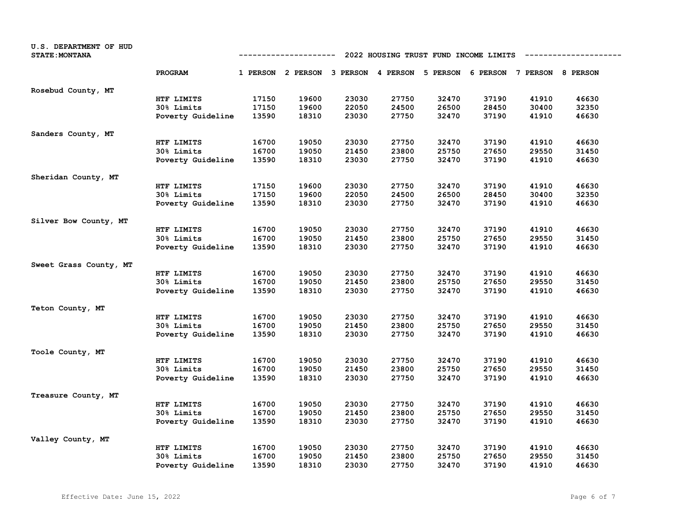| U.S. DEPARTMENT OF HUD<br><b>STATE: MONTANA</b> |                   |       | ----------                                                              |       |       |       | 2022 HOUSING TRUST FUND INCOME LIMITS |       |       |
|-------------------------------------------------|-------------------|-------|-------------------------------------------------------------------------|-------|-------|-------|---------------------------------------|-------|-------|
|                                                 | PROGRAM           |       | 1 PERSON 2 PERSON 3 PERSON 4 PERSON 5 PERSON 6 PERSON 7 PERSON 8 PERSON |       |       |       |                                       |       |       |
| Rosebud County, MT                              |                   |       |                                                                         |       |       |       |                                       |       |       |
|                                                 | HTF LIMITS        | 17150 | 19600                                                                   | 23030 | 27750 | 32470 | 37190                                 | 41910 | 46630 |
|                                                 | 30% Limits        | 17150 | 19600                                                                   | 22050 | 24500 | 26500 | 28450                                 | 30400 | 32350 |
|                                                 | Poverty Guideline | 13590 | 18310                                                                   | 23030 | 27750 | 32470 | 37190                                 | 41910 | 46630 |
| Sanders County, MT                              |                   |       |                                                                         |       |       |       |                                       |       |       |
|                                                 | HTF LIMITS        | 16700 | 19050                                                                   | 23030 | 27750 | 32470 | 37190                                 | 41910 | 46630 |
|                                                 | 30% Limits        | 16700 | 19050                                                                   | 21450 | 23800 | 25750 | 27650                                 | 29550 | 31450 |
|                                                 | Poverty Guideline | 13590 | 18310                                                                   | 23030 | 27750 | 32470 | 37190                                 | 41910 | 46630 |
| Sheridan County, MT                             |                   |       |                                                                         |       |       |       |                                       |       |       |
|                                                 | HTF LIMITS        | 17150 | 19600                                                                   | 23030 | 27750 | 32470 | 37190                                 | 41910 | 46630 |
|                                                 | 30% Limits        | 17150 | 19600                                                                   | 22050 | 24500 | 26500 | 28450                                 | 30400 | 32350 |
|                                                 | Poverty Guideline | 13590 | 18310                                                                   | 23030 | 27750 | 32470 | 37190                                 | 41910 | 46630 |
| Silver Bow County, MT                           |                   |       |                                                                         |       |       |       |                                       |       |       |
|                                                 | HTF LIMITS        | 16700 | 19050                                                                   | 23030 | 27750 | 32470 | 37190                                 | 41910 | 46630 |
|                                                 | 30% Limits        | 16700 | 19050                                                                   | 21450 | 23800 | 25750 | 27650                                 | 29550 | 31450 |
|                                                 | Poverty Guideline | 13590 | 18310                                                                   | 23030 | 27750 | 32470 | 37190                                 | 41910 | 46630 |
| Sweet Grass County, MT                          |                   |       |                                                                         |       |       |       |                                       |       |       |
|                                                 | HTF LIMITS        | 16700 | 19050                                                                   | 23030 | 27750 | 32470 | 37190                                 | 41910 | 46630 |
|                                                 | 30% Limits        | 16700 | 19050                                                                   | 21450 | 23800 | 25750 | 27650                                 | 29550 | 31450 |
|                                                 | Poverty Guideline | 13590 | 18310                                                                   | 23030 | 27750 | 32470 | 37190                                 | 41910 | 46630 |
| Teton County, MT                                |                   |       |                                                                         |       |       |       |                                       |       |       |
|                                                 | HTF LIMITS        | 16700 | 19050                                                                   | 23030 | 27750 | 32470 | 37190                                 | 41910 | 46630 |
|                                                 | 30% Limits        | 16700 | 19050                                                                   | 21450 | 23800 | 25750 | 27650                                 | 29550 | 31450 |
|                                                 | Poverty Guideline | 13590 | 18310                                                                   | 23030 | 27750 | 32470 | 37190                                 | 41910 | 46630 |
| Toole County, MT                                |                   |       |                                                                         |       |       |       |                                       |       |       |
|                                                 | HTF LIMITS        | 16700 | 19050                                                                   | 23030 | 27750 | 32470 | 37190                                 | 41910 | 46630 |
|                                                 | 30% Limits        | 16700 | 19050                                                                   | 21450 | 23800 | 25750 | 27650                                 | 29550 | 31450 |
|                                                 | Poverty Guideline | 13590 | 18310                                                                   | 23030 | 27750 | 32470 | 37190                                 | 41910 | 46630 |
| Treasure County, MT                             |                   |       |                                                                         |       |       |       |                                       |       |       |
|                                                 | HTF LIMITS        | 16700 | 19050                                                                   | 23030 | 27750 | 32470 | 37190                                 | 41910 | 46630 |
|                                                 | 30% Limits        | 16700 | 19050                                                                   | 21450 | 23800 | 25750 | 27650                                 | 29550 | 31450 |
|                                                 | Poverty Guideline | 13590 | 18310                                                                   | 23030 | 27750 | 32470 | 37190                                 | 41910 | 46630 |
| Valley County, MT                               |                   |       |                                                                         |       |       |       |                                       |       |       |
|                                                 | HTF LIMITS        | 16700 | 19050                                                                   | 23030 | 27750 | 32470 | 37190                                 | 41910 | 46630 |
|                                                 | 30% Limits        | 16700 | 19050                                                                   | 21450 | 23800 | 25750 | 27650                                 | 29550 | 31450 |
|                                                 | Poverty Guideline | 13590 | 18310                                                                   | 23030 | 27750 | 32470 | 37190                                 | 41910 | 46630 |